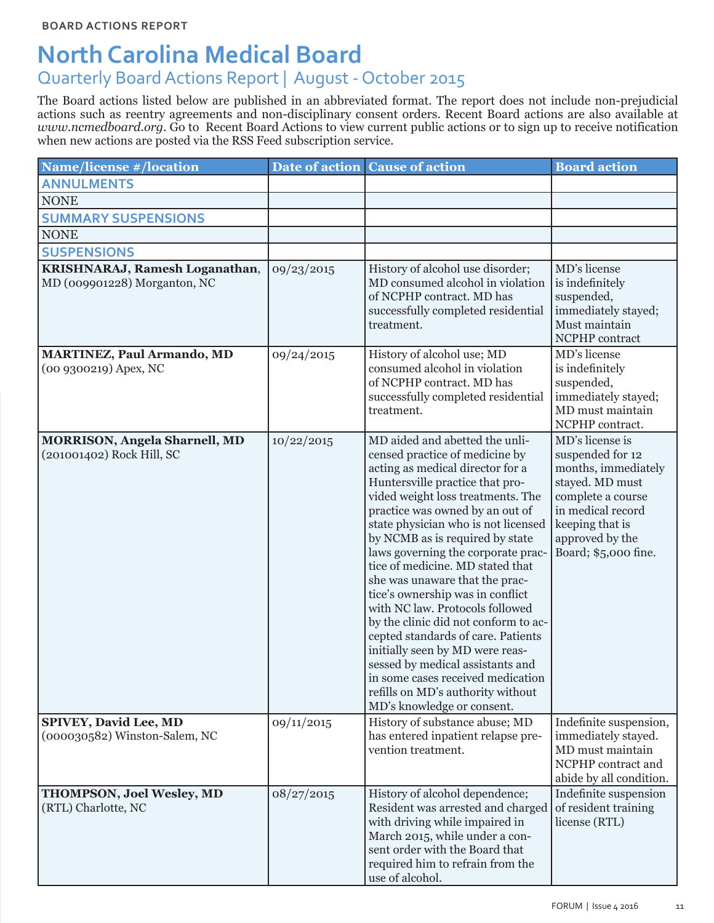# **North Carolina Medical Board**

## Quarterly Board Actions Report | August - October 2015

The Board actions listed below are published in an abbreviated format. The report does not include non-prejudicial actions such as reentry agreements and non-disciplinary consent orders. Recent Board actions are also available at *www.ncmedboard.org.* Go to Recent Board Actions to view current public actions or to sign up to receive notification when new actions are posted via the RSS Feed subscription service.

| <b>Name/license #/location</b>                                    |            | Date of action Cause of action                                                                                                                                                                                                                                                                                                                                                                                                                                                                                                                                                                                                                                                                                                            | <b>Board action</b>                                                                                                                                                                   |
|-------------------------------------------------------------------|------------|-------------------------------------------------------------------------------------------------------------------------------------------------------------------------------------------------------------------------------------------------------------------------------------------------------------------------------------------------------------------------------------------------------------------------------------------------------------------------------------------------------------------------------------------------------------------------------------------------------------------------------------------------------------------------------------------------------------------------------------------|---------------------------------------------------------------------------------------------------------------------------------------------------------------------------------------|
| <b>ANNULMENTS</b>                                                 |            |                                                                                                                                                                                                                                                                                                                                                                                                                                                                                                                                                                                                                                                                                                                                           |                                                                                                                                                                                       |
| <b>NONE</b>                                                       |            |                                                                                                                                                                                                                                                                                                                                                                                                                                                                                                                                                                                                                                                                                                                                           |                                                                                                                                                                                       |
| <b>SUMMARY SUSPENSIONS</b>                                        |            |                                                                                                                                                                                                                                                                                                                                                                                                                                                                                                                                                                                                                                                                                                                                           |                                                                                                                                                                                       |
| <b>NONE</b>                                                       |            |                                                                                                                                                                                                                                                                                                                                                                                                                                                                                                                                                                                                                                                                                                                                           |                                                                                                                                                                                       |
| <b>SUSPENSIONS</b>                                                |            |                                                                                                                                                                                                                                                                                                                                                                                                                                                                                                                                                                                                                                                                                                                                           |                                                                                                                                                                                       |
| KRISHNARAJ, Ramesh Loganathan,<br>MD (009901228) Morganton, NC    | 09/23/2015 | History of alcohol use disorder;<br>MD consumed alcohol in violation<br>of NCPHP contract. MD has<br>successfully completed residential<br>treatment.                                                                                                                                                                                                                                                                                                                                                                                                                                                                                                                                                                                     | MD's license<br>is indefinitely<br>suspended,<br>immediately stayed;<br>Must maintain<br>NCPHP contract                                                                               |
| <b>MARTINEZ, Paul Armando, MD</b><br>(00 9300219) Apex, NC        | 09/24/2015 | History of alcohol use; MD<br>consumed alcohol in violation<br>of NCPHP contract. MD has<br>successfully completed residential<br>treatment.                                                                                                                                                                                                                                                                                                                                                                                                                                                                                                                                                                                              | MD's license<br>is indefinitely<br>suspended,<br>immediately stayed;<br>MD must maintain<br>NCPHP contract.                                                                           |
| <b>MORRISON, Angela Sharnell, MD</b><br>(201001402) Rock Hill, SC | 10/22/2015 | MD aided and abetted the unli-<br>censed practice of medicine by<br>acting as medical director for a<br>Huntersville practice that pro-<br>vided weight loss treatments. The<br>practice was owned by an out of<br>state physician who is not licensed<br>by NCMB as is required by state<br>laws governing the corporate prac-<br>tice of medicine. MD stated that<br>she was unaware that the prac-<br>tice's ownership was in conflict<br>with NC law. Protocols followed<br>by the clinic did not conform to ac-<br>cepted standards of care. Patients<br>initially seen by MD were reas-<br>sessed by medical assistants and<br>in some cases received medication<br>refills on MD's authority without<br>MD's knowledge or consent. | MD's license is<br>suspended for 12<br>months, immediately<br>stayed. MD must<br>complete a course<br>in medical record<br>keeping that is<br>approved by the<br>Board; \$5,000 fine. |
| <b>SPIVEY, David Lee, MD</b><br>(000030582) Winston-Salem, NC     | 09/11/2015 | History of substance abuse; MD<br>has entered inpatient relapse pre-<br>vention treatment.                                                                                                                                                                                                                                                                                                                                                                                                                                                                                                                                                                                                                                                | Indefinite suspension,<br>immediately stayed.<br>MD must maintain<br>NCPHP contract and<br>abide by all condition.                                                                    |
| <b>THOMPSON, Joel Wesley, MD</b><br>(RTL) Charlotte, NC           | 08/27/2015 | History of alcohol dependence;<br>Resident was arrested and charged<br>with driving while impaired in<br>March 2015, while under a con-<br>sent order with the Board that<br>required him to refrain from the<br>use of alcohol.                                                                                                                                                                                                                                                                                                                                                                                                                                                                                                          | Indefinite suspension<br>of resident training<br>license (RTL)                                                                                                                        |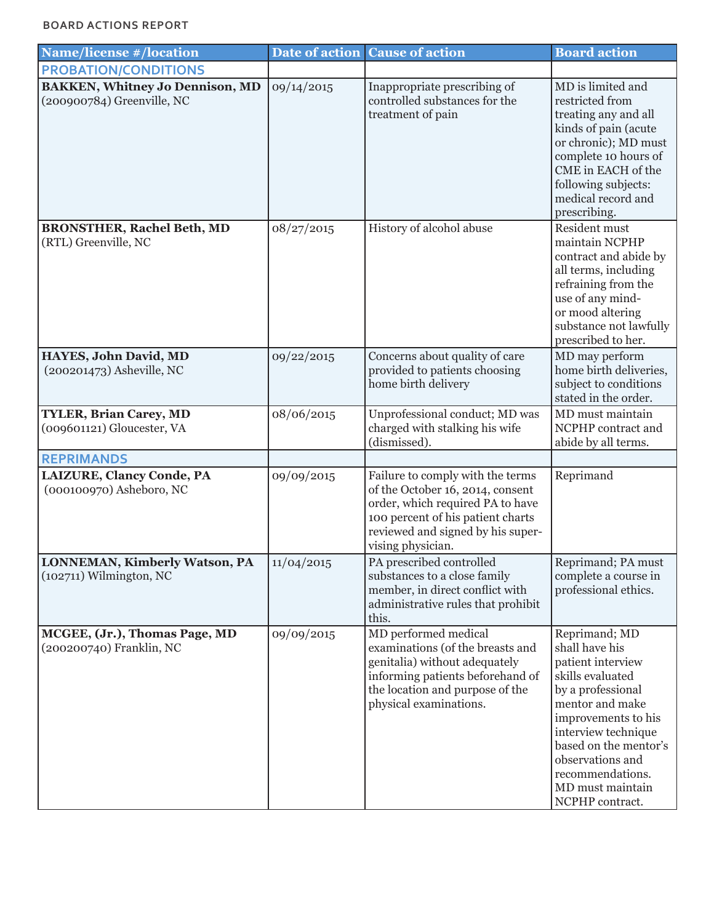### **BOARD ACTIONS REPORT**

| <b>Name/license #/location</b>                                       | Date of action | <b>Cause of action</b>                                                                                                                                                                                  | <b>Board action</b>                                                                                                                                                                                                                                                    |
|----------------------------------------------------------------------|----------------|---------------------------------------------------------------------------------------------------------------------------------------------------------------------------------------------------------|------------------------------------------------------------------------------------------------------------------------------------------------------------------------------------------------------------------------------------------------------------------------|
| <b>PROBATION/CONDITIONS</b>                                          |                |                                                                                                                                                                                                         |                                                                                                                                                                                                                                                                        |
| <b>BAKKEN, Whitney Jo Dennison, MD</b><br>(200900784) Greenville, NC | 09/14/2015     | Inappropriate prescribing of<br>controlled substances for the<br>treatment of pain                                                                                                                      | MD is limited and<br>restricted from<br>treating any and all<br>kinds of pain (acute<br>or chronic); MD must<br>complete 10 hours of<br>CME in EACH of the<br>following subjects:<br>medical record and<br>prescribing.                                                |
| <b>BRONSTHER, Rachel Beth, MD</b><br>(RTL) Greenville, NC            | 08/27/2015     | History of alcohol abuse                                                                                                                                                                                | Resident must<br>maintain NCPHP<br>contract and abide by<br>all terms, including<br>refraining from the<br>use of any mind-<br>or mood altering<br>substance not lawfully<br>prescribed to her.                                                                        |
| HAYES, John David, MD<br>(200201473) Asheville, NC                   | 09/22/2015     | Concerns about quality of care<br>provided to patients choosing<br>home birth delivery                                                                                                                  | MD may perform<br>home birth deliveries,<br>subject to conditions<br>stated in the order.                                                                                                                                                                              |
| <b>TYLER, Brian Carey, MD</b><br>(009601121) Gloucester, VA          | 08/06/2015     | Unprofessional conduct; MD was<br>charged with stalking his wife<br>(dismissed).                                                                                                                        | MD must maintain<br>NCPHP contract and<br>abide by all terms.                                                                                                                                                                                                          |
| <b>REPRIMANDS</b>                                                    |                |                                                                                                                                                                                                         |                                                                                                                                                                                                                                                                        |
| LAIZURE, Clancy Conde, PA<br>(000100970) Asheboro, NC                | 09/09/2015     | Failure to comply with the terms<br>of the October 16, 2014, consent<br>order, which required PA to have<br>100 percent of his patient charts<br>reviewed and signed by his super-<br>vising physician. | Reprimand                                                                                                                                                                                                                                                              |
| <b>LONNEMAN, Kimberly Watson, PA</b><br>$(102711)$ Wilmington, NC    | 11/04/2015     | PA prescribed controlled<br>substances to a close family<br>member, in direct conflict with<br>administrative rules that prohibit<br>this.                                                              | Reprimand; PA must<br>complete a course in<br>professional ethics.                                                                                                                                                                                                     |
| MCGEE, (Jr.), Thomas Page, MD<br>(200200740) Franklin, NC            | 09/09/2015     | MD performed medical<br>examinations (of the breasts and<br>genitalia) without adequately<br>informing patients beforehand of<br>the location and purpose of the<br>physical examinations.              | Reprimand; MD<br>shall have his<br>patient interview<br>skills evaluated<br>by a professional<br>mentor and make<br>improvements to his<br>interview technique<br>based on the mentor's<br>observations and<br>recommendations.<br>MD must maintain<br>NCPHP contract. |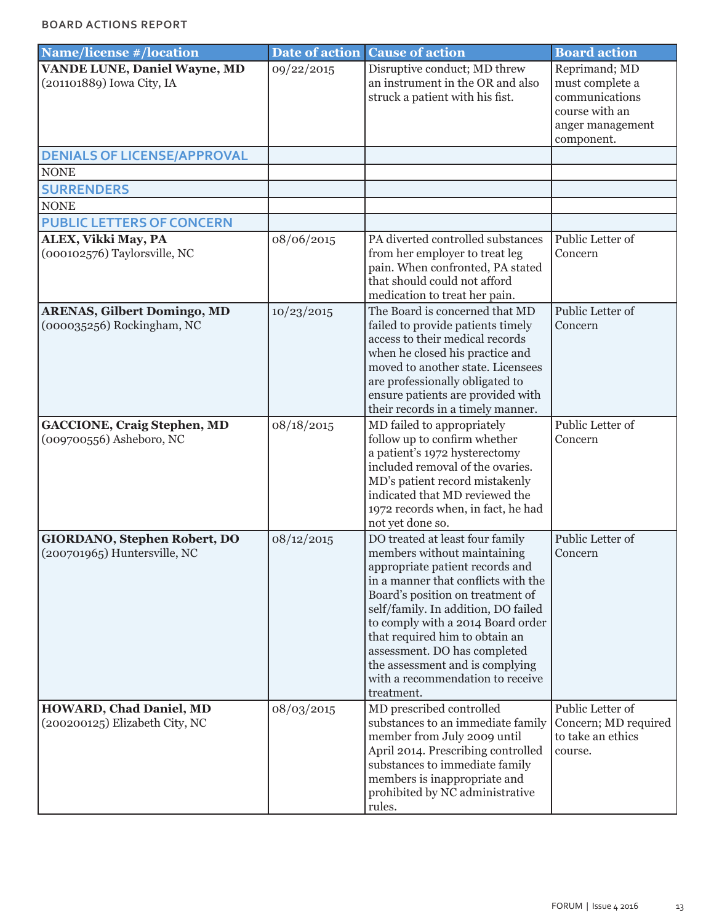| <b>Name/license #/location</b>                                      | Date of action | <b>Cause of action</b>                                                                                                                                                                                                                                                                                                                                                                                          | <b>Board action</b>                                                                                    |
|---------------------------------------------------------------------|----------------|-----------------------------------------------------------------------------------------------------------------------------------------------------------------------------------------------------------------------------------------------------------------------------------------------------------------------------------------------------------------------------------------------------------------|--------------------------------------------------------------------------------------------------------|
| <b>VANDE LUNE, Daniel Wayne, MD</b><br>(201101889) Iowa City, IA    | 09/22/2015     | Disruptive conduct; MD threw<br>an instrument in the OR and also<br>struck a patient with his fist.                                                                                                                                                                                                                                                                                                             | Reprimand; MD<br>must complete a<br>communications<br>course with an<br>anger management<br>component. |
| <b>DENIALS OF LICENSE/APPROVAL</b>                                  |                |                                                                                                                                                                                                                                                                                                                                                                                                                 |                                                                                                        |
| <b>NONE</b>                                                         |                |                                                                                                                                                                                                                                                                                                                                                                                                                 |                                                                                                        |
| <b>SURRENDERS</b>                                                   |                |                                                                                                                                                                                                                                                                                                                                                                                                                 |                                                                                                        |
| <b>NONE</b>                                                         |                |                                                                                                                                                                                                                                                                                                                                                                                                                 |                                                                                                        |
| <b>PUBLIC LETTERS OF CONCERN</b>                                    |                |                                                                                                                                                                                                                                                                                                                                                                                                                 |                                                                                                        |
| ALEX, Vikki May, PA<br>(000102576) Taylorsville, NC                 | 08/06/2015     | PA diverted controlled substances<br>from her employer to treat leg<br>pain. When confronted, PA stated<br>that should could not afford<br>medication to treat her pain.                                                                                                                                                                                                                                        | Public Letter of<br>Concern                                                                            |
| <b>ARENAS, Gilbert Domingo, MD</b><br>(000035256) Rockingham, NC    | 10/23/2015     | The Board is concerned that MD<br>failed to provide patients timely<br>access to their medical records<br>when he closed his practice and<br>moved to another state. Licensees<br>are professionally obligated to<br>ensure patients are provided with<br>their records in a timely manner.                                                                                                                     | Public Letter of<br>Concern                                                                            |
| <b>GACCIONE, Craig Stephen, MD</b><br>(009700556) Asheboro, NC      | 08/18/2015     | MD failed to appropriately<br>follow up to confirm whether<br>a patient's 1972 hysterectomy<br>included removal of the ovaries.<br>MD's patient record mistakenly<br>indicated that MD reviewed the<br>1972 records when, in fact, he had<br>not yet done so.                                                                                                                                                   | Public Letter of<br>Concern                                                                            |
| <b>GIORDANO, Stephen Robert, DO</b><br>(200701965) Huntersville, NC | 08/12/2015     | DO treated at least four family<br>members without maintaining<br>appropriate patient records and<br>in a manner that conflicts with the<br>Board's position on treatment of<br>self/family. In addition, DO failed<br>to comply with a 2014 Board order<br>that required him to obtain an<br>assessment. DO has completed<br>the assessment and is complying<br>with a recommendation to receive<br>treatment. | Public Letter of<br>Concern                                                                            |
| <b>HOWARD, Chad Daniel, MD</b><br>(200200125) Elizabeth City, NC    | 08/03/2015     | MD prescribed controlled<br>substances to an immediate family<br>member from July 2009 until<br>April 2014. Prescribing controlled<br>substances to immediate family<br>members is inappropriate and<br>prohibited by NC administrative<br>rules.                                                                                                                                                               | Public Letter of<br>Concern; MD required<br>to take an ethics<br>course.                               |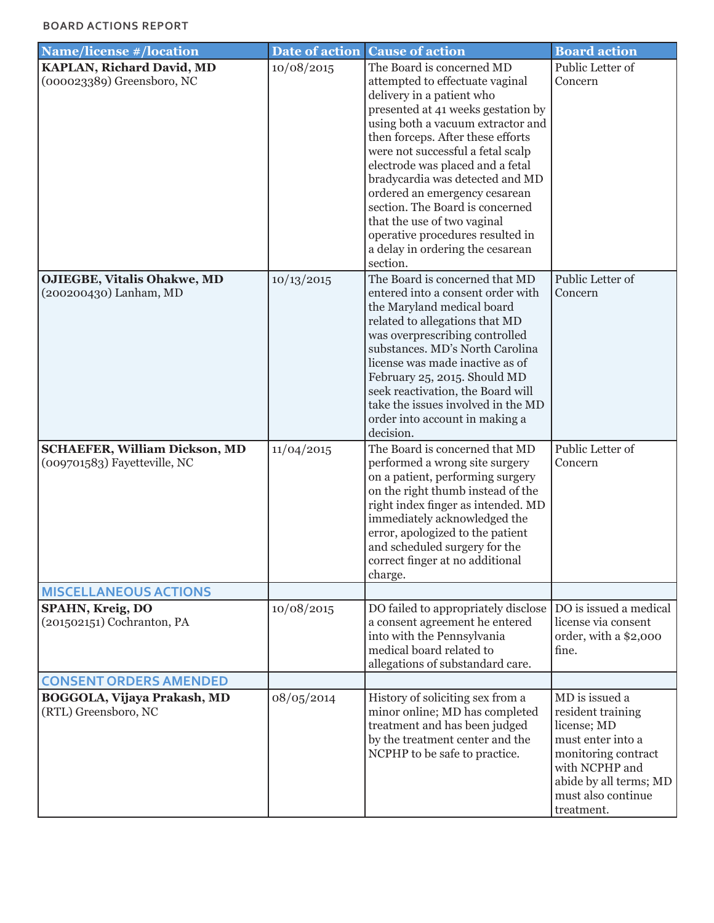### **BOARD ACTIONS REPORT**

| <b>Name/license #/location</b>                                                       | Date of action | <b>Cause of action</b>                                                                                                                                                                                                                                                                                                                                                                                                                                                                                       | <b>Board action</b>                                                                                                                                                            |
|--------------------------------------------------------------------------------------|----------------|--------------------------------------------------------------------------------------------------------------------------------------------------------------------------------------------------------------------------------------------------------------------------------------------------------------------------------------------------------------------------------------------------------------------------------------------------------------------------------------------------------------|--------------------------------------------------------------------------------------------------------------------------------------------------------------------------------|
| <b>KAPLAN, Richard David, MD</b><br>(000023389) Greensboro, NC                       | 10/08/2015     | The Board is concerned MD<br>attempted to effectuate vaginal<br>delivery in a patient who<br>presented at 41 weeks gestation by<br>using both a vacuum extractor and<br>then forceps. After these efforts<br>were not successful a fetal scalp<br>electrode was placed and a fetal<br>bradycardia was detected and MD<br>ordered an emergency cesarean<br>section. The Board is concerned<br>that the use of two vaginal<br>operative procedures resulted in<br>a delay in ordering the cesarean<br>section. | Public Letter of<br>Concern                                                                                                                                                    |
| <b>OJIEGBE, Vitalis Ohakwe, MD</b><br>(200200430) Lanham, MD                         | 10/13/2015     | The Board is concerned that MD<br>entered into a consent order with<br>the Maryland medical board<br>related to allegations that MD<br>was overprescribing controlled<br>substances. MD's North Carolina<br>license was made inactive as of<br>February 25, 2015. Should MD<br>seek reactivation, the Board will<br>take the issues involved in the MD<br>order into account in making a<br>decision.                                                                                                        | Public Letter of<br>Concern                                                                                                                                                    |
| <b>SCHAEFER, William Dickson, MD</b><br>(009701583) Fayetteville, NC                 | 11/04/2015     | The Board is concerned that MD<br>performed a wrong site surgery<br>on a patient, performing surgery<br>on the right thumb instead of the<br>right index finger as intended. MD<br>immediately acknowledged the<br>error, apologized to the patient<br>and scheduled surgery for the<br>correct finger at no additional<br>charge.                                                                                                                                                                           | Public Letter of<br>Concern                                                                                                                                                    |
| <b>MISCELLANEOUS ACTIONS</b><br>SPAHN, Kreig, DO<br>(201502151) Cochranton, PA       | 10/08/2015     | DO failed to appropriately disclose<br>a consent agreement he entered<br>into with the Pennsylvania<br>medical board related to<br>allegations of substandard care.                                                                                                                                                                                                                                                                                                                                          | DO is issued a medical<br>license via consent<br>order, with a \$2,000<br>fine.                                                                                                |
| <b>CONSENT ORDERS AMENDED</b><br>BOGGOLA, Vijaya Prakash, MD<br>(RTL) Greensboro, NC | 08/05/2014     | History of soliciting sex from a<br>minor online; MD has completed<br>treatment and has been judged<br>by the treatment center and the<br>NCPHP to be safe to practice.                                                                                                                                                                                                                                                                                                                                      | MD is issued a<br>resident training<br>license; MD<br>must enter into a<br>monitoring contract<br>with NCPHP and<br>abide by all terms; MD<br>must also continue<br>treatment. |